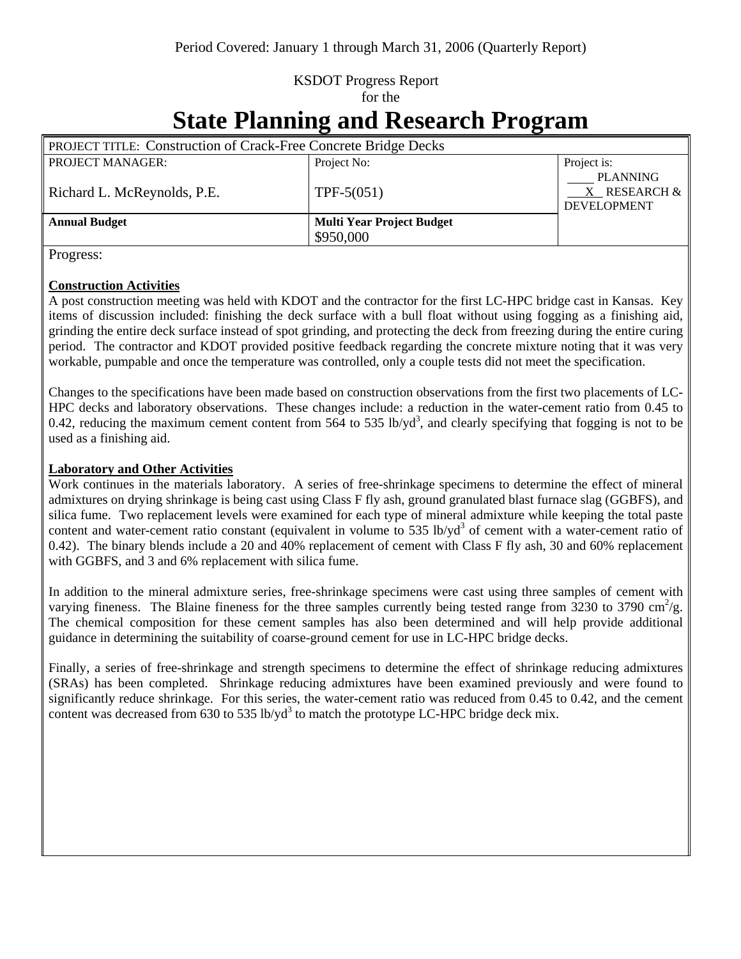## KSDOT Progress Report for the

# **State Planning and Research Program**

| <b>PROJECT TITLE: Construction of Crack-Free Concrete Bridge Decks</b> |                                  |                                                            |
|------------------------------------------------------------------------|----------------------------------|------------------------------------------------------------|
| <b>PROJECT MANAGER:</b>                                                | Project No:                      | Project is:                                                |
| Richard L. McReynolds, P.E.                                            | $TPF-5(051)$                     | <b>PLANNING</b><br>$X$ RESEARCH $\&$<br><b>DEVELOPMENT</b> |
| <b>Annual Budget</b>                                                   | <b>Multi Year Project Budget</b> |                                                            |
|                                                                        | \$950,000                        |                                                            |

Progress:

### **Construction Activities**

A post construction meeting was held with KDOT and the contractor for the first LC-HPC bridge cast in Kansas. Key items of discussion included: finishing the deck surface with a bull float without using fogging as a finishing aid, grinding the entire deck surface instead of spot grinding, and protecting the deck from freezing during the entire curing period. The contractor and KDOT provided positive feedback regarding the concrete mixture noting that it was very workable, pumpable and once the temperature was controlled, only a couple tests did not meet the specification.

Changes to the specifications have been made based on construction observations from the first two placements of LC-HPC decks and laboratory observations. These changes include: a reduction in the water-cement ratio from 0.45 to 0.42, reducing the maximum cement content from  $564$  to  $535$  lb/yd<sup>3</sup>, and clearly specifying that fogging is not to be used as a finishing aid.

### **Laboratory and Other Activities**

Work continues in the materials laboratory. A series of free-shrinkage specimens to determine the effect of mineral admixtures on drying shrinkage is being cast using Class F fly ash, ground granulated blast furnace slag (GGBFS), and silica fume. Two replacement levels were examined for each type of mineral admixture while keeping the total paste content and water-cement ratio constant (equivalent in volume to 535 lb/yd<sup>3</sup> of cement with a water-cement ratio of 0.42). The binary blends include a 20 and 40% replacement of cement with Class F fly ash, 30 and 60% replacement with GGBFS, and 3 and 6% replacement with silica fume.

In addition to the mineral admixture series, free-shrinkage specimens were cast using three samples of cement with varying fineness. The Blaine fineness for the three samples currently being tested range from  $\frac{3230 \text{ to } 3790 \text{ cm}^2/\text{g}}{2}$ . The chemical composition for these cement samples has also been determined and will help provide additional guidance in determining the suitability of coarse-ground cement for use in LC-HPC bridge decks.

Finally, a series of free-shrinkage and strength specimens to determine the effect of shrinkage reducing admixtures (SRAs) has been completed. Shrinkage reducing admixtures have been examined previously and were found to significantly reduce shrinkage. For this series, the water-cement ratio was reduced from 0.45 to 0.42, and the cement content was decreased from  $630$  to  $535$  lb/yd<sup>3</sup> to match the prototype LC-HPC bridge deck mix.